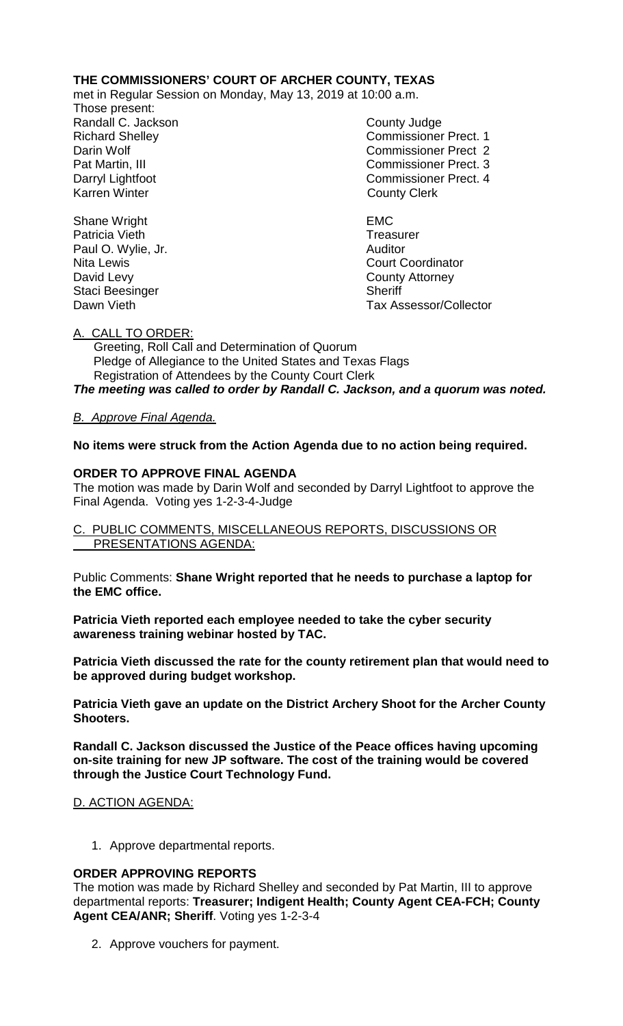## **THE COMMISSIONERS' COURT OF ARCHER COUNTY, TEXAS**

met in Regular Session on Monday, May 13, 2019 at 10:00 a.m.

Those present: Randall C. Jackson County Judge

Richard Shelley Commissioner Prect. 1 Darin Wolf Commissioner Prect 2 Pat Martin, III Commissioner Prect. 3 Darryl Lightfoot **Commissioner Prect. 4**<br>
Karren Winter **County County Clerk County Clerk** 

**Court Coordinator** Dawn Vieth Tax Assessor/Collector

Shane Wright **EMC** Patricia Vieth **Treasurer Treasurer** Paul O. Wylie, Jr. (2008) 2008 - Auditor Nita Lewis Court Court Court Court Court Court Court Court C David Levy **County Attorney** Staci Beesinger Sheriff

## A. CALL TO ORDER:

 Greeting, Roll Call and Determination of Quorum Pledge of Allegiance to the United States and Texas Flags Registration of Attendees by the County Court Clerk *The meeting was called to order by Randall C. Jackson, and a quorum was noted.*

# *B. Approve Final Agenda.*

**No items were struck from the Action Agenda due to no action being required.**

## **ORDER TO APPROVE FINAL AGENDA**

The motion was made by Darin Wolf and seconded by Darryl Lightfoot to approve the Final Agenda. Voting yes 1-2-3-4-Judge

### C. PUBLIC COMMENTS, MISCELLANEOUS REPORTS, DISCUSSIONS OR PRESENTATIONS AGENDA:

Public Comments: **Shane Wright reported that he needs to purchase a laptop for the EMC office.** 

**Patricia Vieth reported each employee needed to take the cyber security awareness training webinar hosted by TAC.**

**Patricia Vieth discussed the rate for the county retirement plan that would need to be approved during budget workshop.**

**Patricia Vieth gave an update on the District Archery Shoot for the Archer County Shooters.**

**Randall C. Jackson discussed the Justice of the Peace offices having upcoming on-site training for new JP software. The cost of the training would be covered through the Justice Court Technology Fund.**

## D. ACTION AGENDA:

1. Approve departmental reports.

## **ORDER APPROVING REPORTS**

The motion was made by Richard Shelley and seconded by Pat Martin, III to approve departmental reports: **Treasurer; Indigent Health; County Agent CEA-FCH; County Agent CEA/ANR; Sheriff**. Voting yes 1-2-3-4

2. Approve vouchers for payment.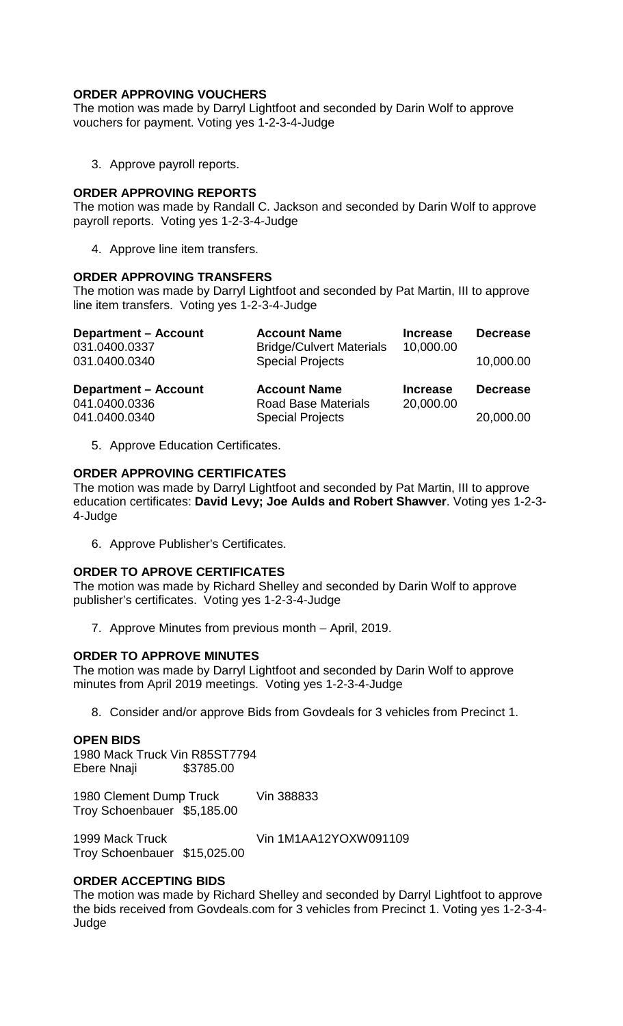## **ORDER APPROVING VOUCHERS**

The motion was made by Darryl Lightfoot and seconded by Darin Wolf to approve vouchers for payment. Voting yes 1-2-3-4-Judge

3. Approve payroll reports.

### **ORDER APPROVING REPORTS**

The motion was made by Randall C. Jackson and seconded by Darin Wolf to approve payroll reports. Voting yes 1-2-3-4-Judge

4. Approve line item transfers.

### **ORDER APPROVING TRANSFERS**

The motion was made by Darryl Lightfoot and seconded by Pat Martin, III to approve line item transfers. Voting yes 1-2-3-4-Judge

| <b>Department - Account</b><br>031.0400.0337<br>031.0400.0340 | <b>Account Name</b><br><b>Bridge/Culvert Materials</b><br><b>Special Projects</b> | <b>Increase</b><br>10,000.00 | <b>Decrease</b><br>10,000.00 |
|---------------------------------------------------------------|-----------------------------------------------------------------------------------|------------------------------|------------------------------|
|                                                               |                                                                                   |                              |                              |
| <b>Department - Account</b><br>041.0400.0336                  | <b>Account Name</b><br><b>Road Base Materials</b>                                 | <b>Increase</b><br>20,000.00 | <b>Decrease</b>              |

5. Approve Education Certificates.

# **ORDER APPROVING CERTIFICATES**

The motion was made by Darryl Lightfoot and seconded by Pat Martin, III to approve education certificates: **David Levy; Joe Aulds and Robert Shawver**. Voting yes 1-2-3- 4-Judge

6. Approve Publisher's Certificates.

## **ORDER TO APROVE CERTIFICATES**

The motion was made by Richard Shelley and seconded by Darin Wolf to approve publisher's certificates. Voting yes 1-2-3-4-Judge

7. Approve Minutes from previous month – April, 2019.

#### **ORDER TO APPROVE MINUTES**

The motion was made by Darryl Lightfoot and seconded by Darin Wolf to approve minutes from April 2019 meetings. Voting yes 1-2-3-4-Judge

8. Consider and/or approve Bids from Govdeals for 3 vehicles from Precinct 1.

#### **OPEN BIDS**

1980 Mack Truck Vin R85ST7794 Ebere Nnaji \$3785.00

1980 Clement Dump Truck Vin 388833 Troy Schoenbauer \$5,185.00

1999 Mack Truck Vin 1M1AA12YOXW091109 Troy Schoenbauer \$15,025.00

## **ORDER ACCEPTING BIDS**

The motion was made by Richard Shelley and seconded by Darryl Lightfoot to approve the bids received from Govdeals.com for 3 vehicles from Precinct 1. Voting yes 1-2-3-4- Judge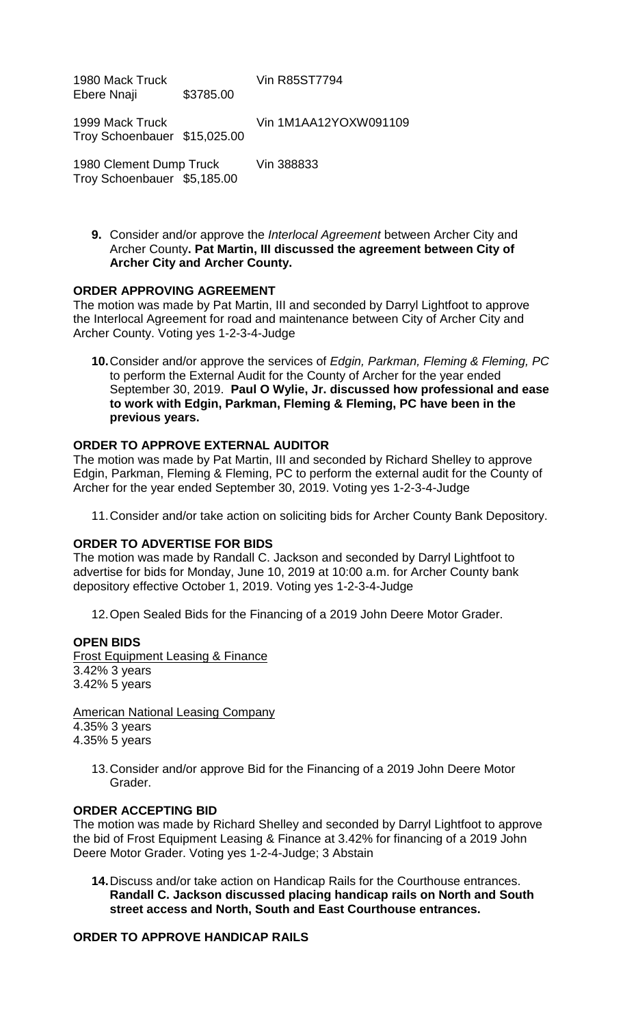1980 Mack Truck Vin R85ST7794<br>Ebere Nnaii 198785.00 Ebere Nnaii

1999 Mack Truck Vin 1M1AA12YOXW091109 Troy Schoenbauer \$15,025.00

1980 Clement Dump Truck Vin 388833 Troy Schoenbauer \$5,185.00

**9.** Consider and/or approve the *Interlocal Agreement* between Archer City and Archer County**. Pat Martin, III discussed the agreement between City of Archer City and Archer County.**

### **ORDER APPROVING AGREEMENT**

The motion was made by Pat Martin, III and seconded by Darryl Lightfoot to approve the Interlocal Agreement for road and maintenance between City of Archer City and Archer County. Voting yes 1-2-3-4-Judge

**10.**Consider and/or approve the services of *Edgin, Parkman, Fleming & Fleming, PC*  to perform the External Audit for the County of Archer for the year ended September 30, 2019.**Paul O Wylie, Jr. discussed how professional and ease to work with Edgin, Parkman, Fleming & Fleming, PC have been in the previous years.**

## **ORDER TO APPROVE EXTERNAL AUDITOR**

The motion was made by Pat Martin, III and seconded by Richard Shelley to approve Edgin, Parkman, Fleming & Fleming, PC to perform the external audit for the County of Archer for the year ended September 30, 2019. Voting yes 1-2-3-4-Judge

11.Consider and/or take action on soliciting bids for Archer County Bank Depository.

#### **ORDER TO ADVERTISE FOR BIDS**

The motion was made by Randall C. Jackson and seconded by Darryl Lightfoot to advertise for bids for Monday, June 10, 2019 at 10:00 a.m. for Archer County bank depository effective October 1, 2019. Voting yes 1-2-3-4-Judge

12.Open Sealed Bids for the Financing of a 2019 John Deere Motor Grader.

#### **OPEN BIDS**

Frost Equipment Leasing & Finance 3.42% 3 years 3.42% 5 years

American National Leasing Company 4.35% 3 years 4.35% 5 years

13.Consider and/or approve Bid for the Financing of a 2019 John Deere Motor Grader.

#### **ORDER ACCEPTING BID**

The motion was made by Richard Shelley and seconded by Darryl Lightfoot to approve the bid of Frost Equipment Leasing & Finance at 3.42% for financing of a 2019 John Deere Motor Grader. Voting yes 1-2-4-Judge; 3 Abstain

**14.**Discuss and/or take action on Handicap Rails for the Courthouse entrances. **Randall C. Jackson discussed placing handicap rails on North and South street access and North, South and East Courthouse entrances.**

## **ORDER TO APPROVE HANDICAP RAILS**